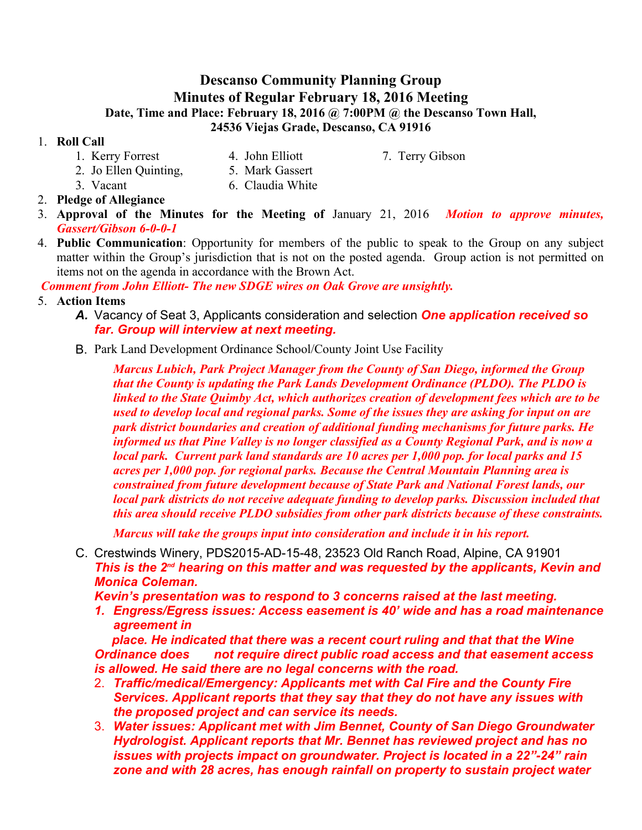# **Descanso Community Planning Group Minutes of Regular February 18, 2016 Meeting Date, Time and Place: February 18, 2016 @ 7:00PM @ the Descanso Town Hall, 24536 Viejas Grade, Descanso, CA 91916**

#### 1. **Roll Call**

- 1. Kerry Forrest 4. John Elliott 7. Terry Gibson
	-
- 2. Jo Ellen Quinting, 5. Mark Gassert
- 3. Vacant 6. Claudia White
- 2. **Pledge of Allegiance**
- 3. **Approval of the Minutes for the Meeting of**  January 21, 2016 *Motion to approve minutes, Gassert/Gibson 6-0-0-1*
- 4. **Public Communication**: Opportunity for members of the public to speak to the Group on any subject matter within the Group's jurisdiction that is not on the posted agenda. Group action is not permitted on items not on the agenda in accordance with the Brown Act.

*Comment from John Elliott- The new SDGE wires on Oak Grove are unsightly.* 

- 5. **Action Items**
	- *A.* Vacancy of Seat 3, Applicants consideration and selection *One application received so far. Group will interview at next meeting.*
	- B. Park Land Development Ordinance School/County Joint Use Facility

*Marcus Lubich, Park Project Manager from the County of San Diego, informed the Group that the County is updating the Park Lands Development Ordinance (PLDO). The PLDO is linked to the State Quimby Act, which authorizes creation of development fees which are to be used to develop local and regional parks. Some of the issues they are asking for input on are park district boundaries and creation of additional funding mechanisms for future parks. He informed us that Pine Valley is no longer classified as a County Regional Park, and is now a local park. Current park land standards are 10 acres per 1,000 pop. for local parks and 15 acres per 1,000 pop. for regional parks. Because the Central Mountain Planning area is constrained from future development because of State Park and National Forest lands, our local park districts do not receive adequate funding to develop parks. Discussion included that this area should receive PLDO subsidies from other park districts because of these constraints.* 

*Marcus will take the groups input into consideration and include it in his report.*

C. Crestwinds Winery, PDS2015-AD-15-48, 23523 Old Ranch Road, Alpine, CA 91901 *This is the 2nd hearing on this matter and was requested by the applicants, Kevin and Monica Coleman.*

*Kevin's presentation was to respond to 3 concerns raised at the last meeting.* 

*1. Engress/Egress issues: Access easement is 40' wide and has a road maintenance agreement in* 

 *place. He indicated that there was a recent court ruling and that that the Wine Ordinance does not require direct public road access and that easement access is allowed. He said there are no legal concerns with the road.* 

- 2. *Traffic/medical/Emergency: Applicants met with Cal Fire and the County Fire Services. Applicant reports that they say that they do not have any issues with the proposed project and can service its needs.*
- 3. *Water issues: Applicant met with Jim Bennet, County of San Diego Groundwater Hydrologist. Applicant reports that Mr. Bennet has reviewed project and has no issues with projects impact on groundwater. Project is located in a 22"-24" rain zone and with 28 acres, has enough rainfall on property to sustain project water*